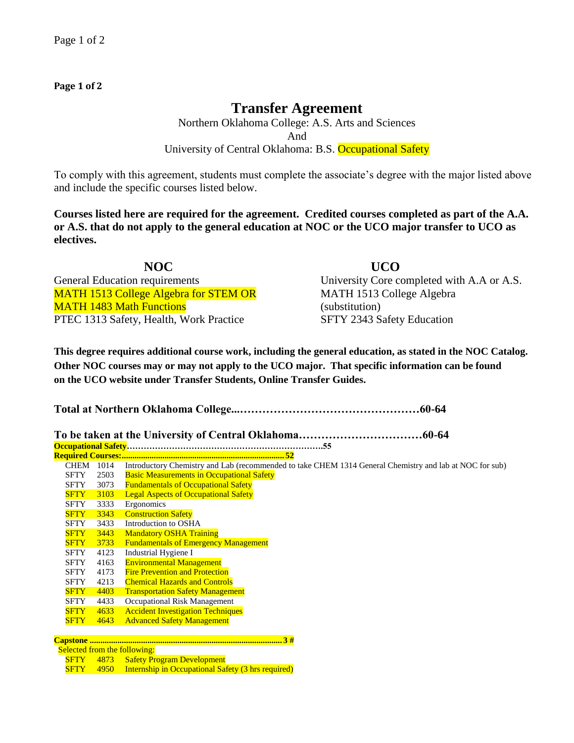## **Page 1 of 2**

## **Transfer Agreement**

Northern Oklahoma College: A.S. Arts and Sciences And University of Central Oklahoma: B.S. Occupational Safety

To comply with this agreement, students must complete the associate's degree with the major listed above and include the specific courses listed below.

**Courses listed here are required for the agreement. Credited courses completed as part of the A.A. or A.S. that do not apply to the general education at NOC or the UCO major transfer to UCO as electives.**

**NOC UCO**  General Education requirements University Core completed with A.A or A.S. MATH 1513 College Algebra for STEM OR MATH 1483 Math Functions PTEC 1313 Safety, Health, Work Practice SFTY 2343 Safety Education

MATH 1513 College Algebra (substitution)

**This degree requires additional course work, including the general education, as stated in the NOC Catalog. Other NOC courses may or may not apply to the UCO major. That specific information can be found on the UCO website under Transfer Students, Online Transfer Guides.** 

**Total at Northern Oklahoma College...…………………………………………60-64**

|--|--|--|

**Occupational Safety…………………………………………………………….55 Required Courses:............................................................................ 52** CHEM 1014 Introductory Chemistry and Lab (recommended to take CHEM 1314 General Chemistry and lab at NOC for sub)

- SFTY 2503 Basic Measurements in Occupational Safety<br>SFTY 3073 Fundamentals of Occupational Safety 3073 Fundamentals of Occupational Safety
- **SFTY** 3103 Legal Aspects of Occupational Safety<br>SFTY 3333 Ergonomics
- SFTY 3333 Ergonomics<br>SFTY 3343 Construction
- **SFTY** 3343 Construction Safety<br>SFTY 3433 Introduction to OSF
- SFTY 3433 Introduction to OSHA<br>SFTY 3443 Mandatory OSHA Trai
- SFTY 3443 Mandatory OSHA Training<br>SFTY 3733 Fundamentals of Emergency
- **SFTY** 3733 Fundamentals of Emergency Management<br>SFTY 4123 Industrial Hygiene I 4123 Industrial Hygiene I
- SFTY 4163 Environmental Management
- SFTY 4173 Fire Prevention and Protection
- SFTY 4213 Chemical Hazards and Controls
- SFTY 4403 Transportation Safety Management
- SFTY 4433 Occupational Risk Management SFTY 4633 Accident Investigation Techniques
- SFTY 4643 Advanced Safety Management

**Capstone .......................................................................................... 3 #**

Selected from the following:

- SFTY 4873 Safety Program Development
- SFTY 4950 Internship in Occupational Safety (3 hrs required)